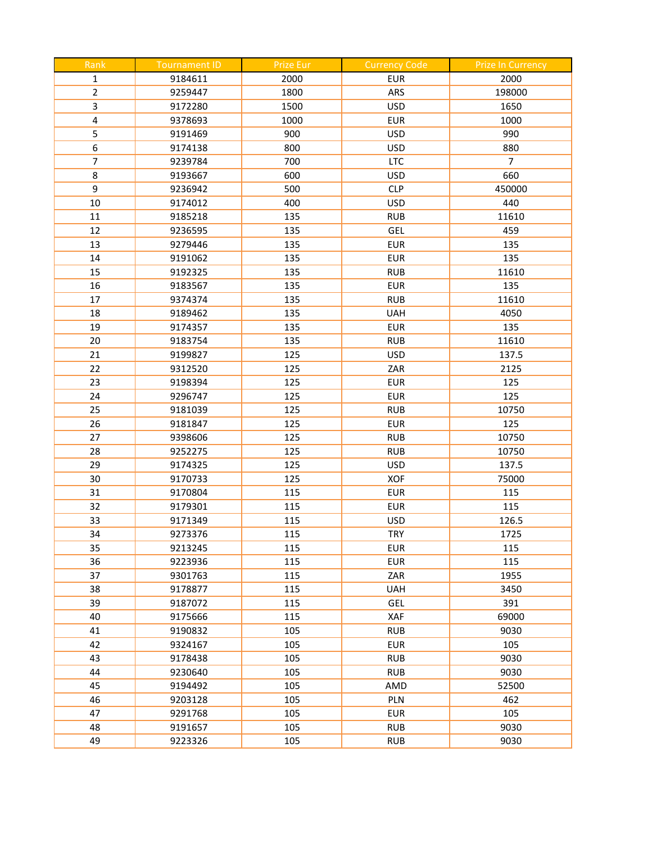| Rank                    | <b>Tournament ID</b> | <b>Prize Eur</b> | <b>Currency Code</b> | <b>Prize In Currency</b> |
|-------------------------|----------------------|------------------|----------------------|--------------------------|
| $\mathbf 1$             | 9184611              | 2000             | <b>EUR</b>           | 2000                     |
| $\overline{2}$          | 9259447              | 1800             | ARS                  | 198000                   |
| 3                       | 9172280              | 1500             | <b>USD</b>           | 1650                     |
| $\overline{\mathbf{4}}$ | 9378693              | 1000             | <b>EUR</b>           | 1000                     |
| 5                       | 9191469              | 900              | <b>USD</b>           | 990                      |
| 6                       | 9174138              | 800              | <b>USD</b>           | 880                      |
| $\overline{7}$          | 9239784              | 700              | <b>LTC</b>           | 7                        |
| 8                       | 9193667              | 600              | <b>USD</b>           | 660                      |
| 9                       | 9236942              | 500              | <b>CLP</b>           | 450000                   |
| 10                      | 9174012              | 400              | <b>USD</b>           | 440                      |
| 11                      | 9185218              | 135              | <b>RUB</b>           | 11610                    |
| 12                      | 9236595              | 135              | GEL                  | 459                      |
| 13                      | 9279446              | 135              | <b>EUR</b>           | 135                      |
| 14                      | 9191062              | 135              | <b>EUR</b>           | 135                      |
| 15                      | 9192325              | 135              | <b>RUB</b>           | 11610                    |
| 16                      | 9183567              | 135              | <b>EUR</b>           | 135                      |
| 17                      | 9374374              | 135              | <b>RUB</b>           | 11610                    |
| 18                      | 9189462              | 135              | <b>UAH</b>           | 4050                     |
| 19                      | 9174357              | 135              | <b>EUR</b>           | 135                      |
| 20                      | 9183754              | 135              | <b>RUB</b>           | 11610                    |
| 21                      | 9199827              | 125              | <b>USD</b>           | 137.5                    |
| 22                      | 9312520              | 125              | ZAR                  | 2125                     |
| 23                      | 9198394              | 125              | <b>EUR</b>           | 125                      |
| 24                      | 9296747              | 125              | <b>EUR</b>           | 125                      |
| 25                      | 9181039              | 125              | <b>RUB</b>           | 10750                    |
| 26                      | 9181847              | 125              | <b>EUR</b>           | 125                      |
| 27                      | 9398606              | 125              | <b>RUB</b>           | 10750                    |
| 28                      | 9252275              | 125              | <b>RUB</b>           | 10750                    |
| 29                      | 9174325              | 125              | <b>USD</b>           | 137.5                    |
| 30                      | 9170733              | 125              | <b>XOF</b>           | 75000                    |
| 31                      | 9170804              | 115              | <b>EUR</b>           | 115                      |
| 32                      | 9179301              | 115              | <b>EUR</b>           | 115                      |
| 33                      | 9171349              | 115              | <b>USD</b>           | 126.5                    |
| 34                      | 9273376              | 115              | <b>TRY</b>           | 1725                     |
| 35                      | 9213245              | 115              | <b>EUR</b>           | 115                      |
| 36                      | 9223936              | 115              | <b>EUR</b>           | 115                      |
| 37                      | 9301763              | 115              | ZAR                  | 1955                     |
| 38                      | 9178877              | 115              | <b>UAH</b>           | 3450                     |
| 39                      | 9187072              | 115              | GEL                  | 391                      |
| 40                      | 9175666              | 115              | XAF                  | 69000                    |
| 41                      | 9190832              | 105              | <b>RUB</b>           | 9030                     |
| 42                      | 9324167              | 105              | <b>EUR</b>           | 105                      |
| 43                      | 9178438              | 105              | <b>RUB</b>           | 9030                     |
| 44                      | 9230640              | 105              | <b>RUB</b>           | 9030                     |
| 45                      | 9194492              | 105              | AMD                  | 52500                    |
| 46                      | 9203128              | 105              | PLN                  | 462                      |
| 47                      | 9291768              | 105              | <b>EUR</b>           | 105                      |
| 48                      | 9191657              | 105              | <b>RUB</b>           | 9030                     |
| 49                      | 9223326              | 105              | <b>RUB</b>           | 9030                     |